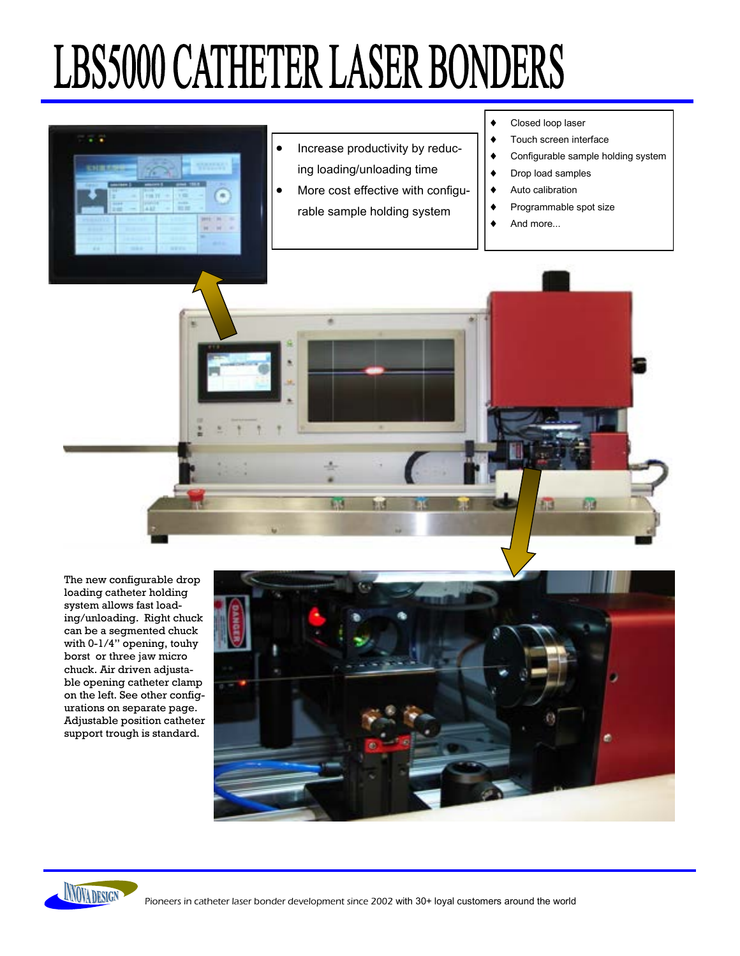# **LBS5000 CATHETER LASER BONDERS**



The new configurable drop loading catheter holding system allows fast loading/unloading. Right chuck can be a segmented chuck with 0-1/4" opening, touhy borst or three jaw micro chuck. Air driven adjustable opening catheter clamp on the left. See other configurations on separate page. Adjustable position catheter support trough is standard.



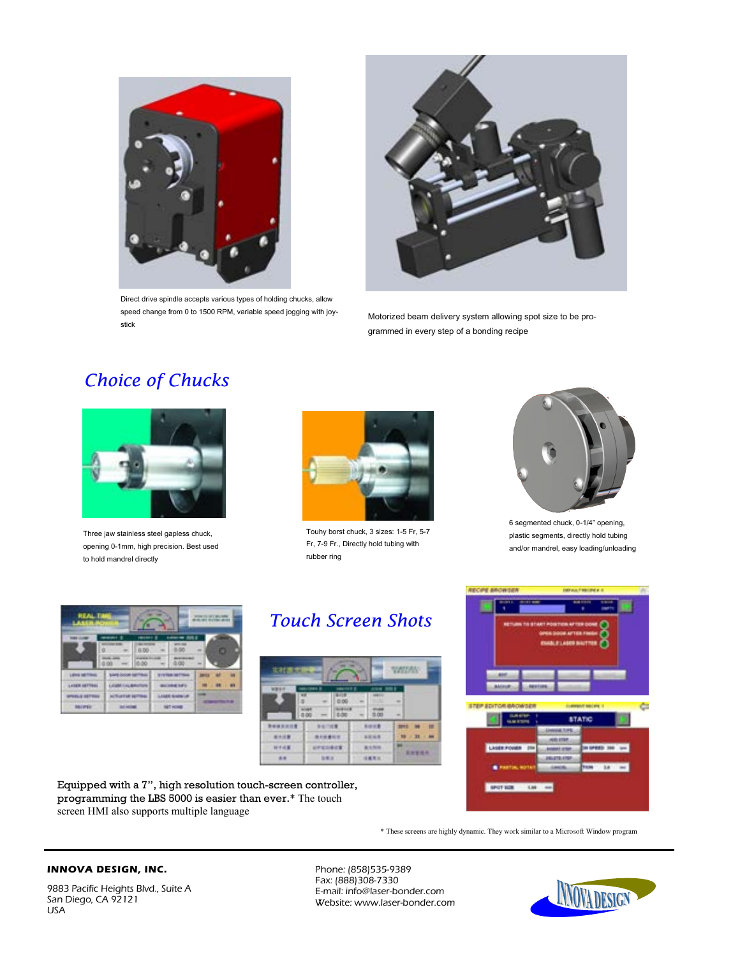

Direct drive spindle accepts various types of holding chucks, allow speed change from 0 to 1500 RPM, variable speed jogging with joystick



Motorized beam delivery system allowing spot size to be programmed in every step of a bonding recipe

## *Choice of Chucks*



Three jaw stainless steel gapless chuck, opening 0-1mm, high precision. Best used to hold mandrel directly



Touhy borst chuck, 3 sizes: 1-5 Fr, 5-7 Fr, 7-9 Fr., Directly hold tubing with rubber ring



6 segmented chuck, 0-1/4" opening, plastic segments, directly hold tubing and/or mandrel, easy loading/unloading



# *Touch Screen Shots*

| 北方医療用                |              | ÷           |                     |                |   | <b>ANGLIAN</b>   |  |
|----------------------|--------------|-------------|---------------------|----------------|---|------------------|--|
|                      | <b>BAN 8</b> |             |                     | ٠              |   |                  |  |
| ٠<br><b>AND</b><br>٠ |              |             | <b><i>BROSE</i></b> |                | ٠ |                  |  |
| <br>٠<br>٠           |              | <br>٠<br>安之 | ٠<br>一覧             | <br><br>٠<br>٠ |   | m                |  |
| 本当                   |              | 主任区         |                     | 日東京京           |   | ٠<br>٠<br>٠<br>٠ |  |

Equipped with a 7", high resolution touch-screen controller, programming the LBS 5000 is easier than ever.\* The touch screen HMI also supports multiple language



\* These screens are highly dynamic. They work similar to a Microsoft Window program

#### **INNOVA DESIGN, INC.**

Phone: (858)535-9389 Fax: (888)308-7330 E-mail: info@laser-bonder.com Website: www.laser-bonder.com

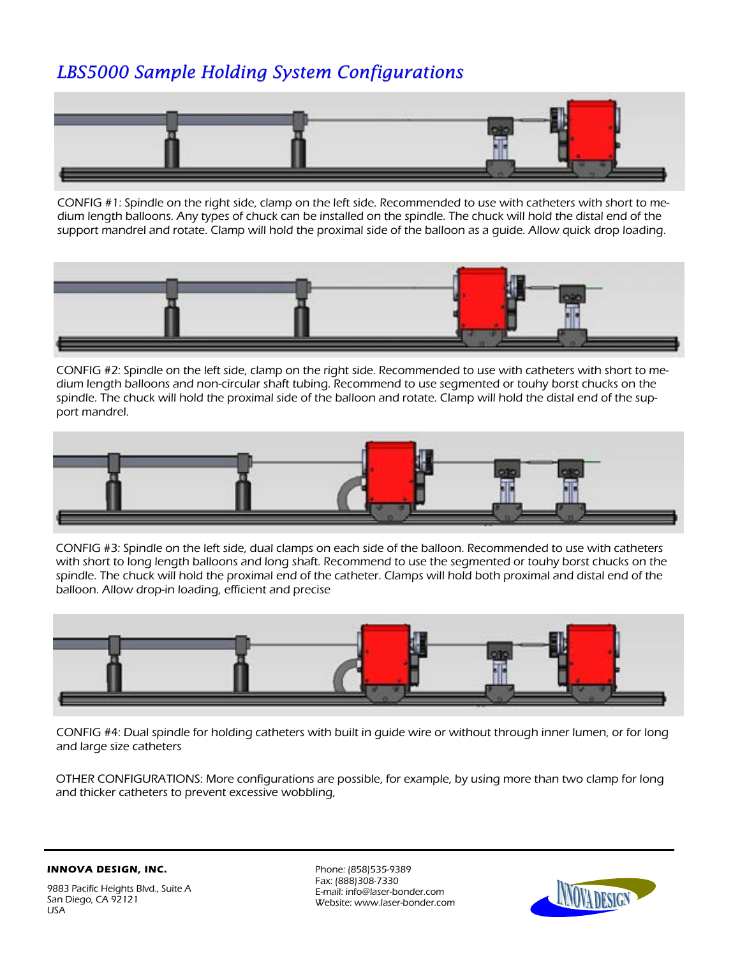## *LBS5000 Sample Holding System Configurations*



CONFIG #1: Spindle on the right side, clamp on the left side. Recommended to use with catheters with short to medium length balloons. Any types of chuck can be installed on the spindle. The chuck will hold the distal end of the support mandrel and rotate. Clamp will hold the proximal side of the balloon as a guide. Allow quick drop loading.



CONFIG #2: Spindle on the left side, clamp on the right side. Recommended to use with catheters with short to medium length balloons and non-circular shaft tubing. Recommend to use segmented or touhy borst chucks on the spindle. The chuck will hold the proximal side of the balloon and rotate. Clamp will hold the distal end of the support mandrel.



CONFIG #3: Spindle on the left side, dual clamps on each side of the balloon. Recommended to use with catheters with short to long length balloons and long shaft. Recommend to use the segmented or touhy borst chucks on the spindle. The chuck will hold the proximal end of the catheter. Clamps will hold both proximal and distal end of the balloon. Allow drop-in loading, efficient and precise



CONFIG #4: Dual spindle for holding catheters with built in guide wire or without through inner lumen, or for long and large size catheters

OTHER CONFIGURATIONS: More configurations are possible, for example, by using more than two clamp for long and thicker catheters to prevent excessive wobbling,

**INNOVA DESIGN, INC.** 



Phone: (858)535-9389 Fax: (888)308-7330 E-mail: info@laser-bonder.com Website: www.laser-bonder.com